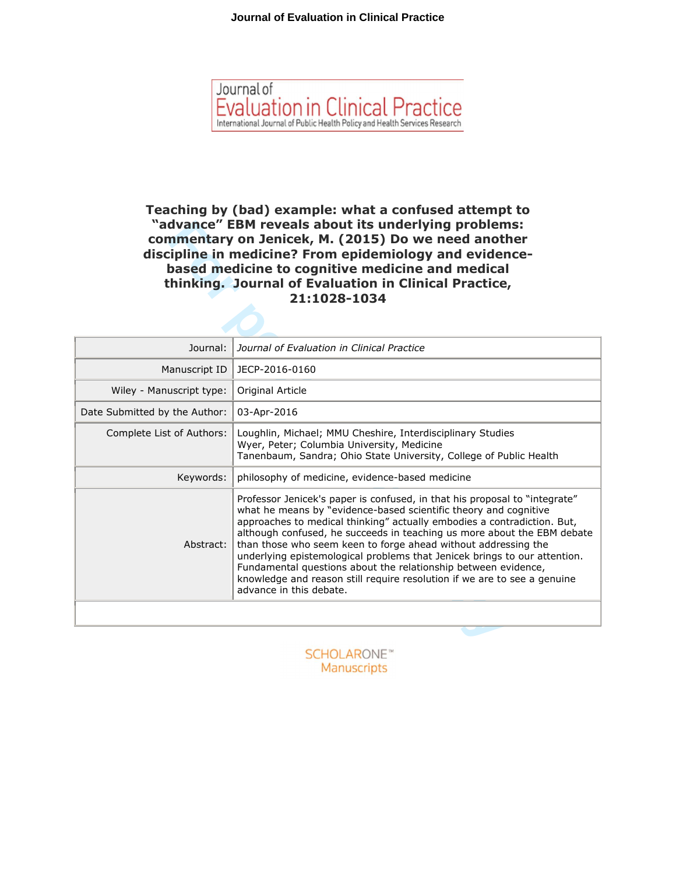

**Teaching by (bad) example: what a confused attempt to "advance" EBM reveals about its underlying problems: commentary on Jenicek, M. (2015) Do we need another discipline in medicine? From epidemiology and evidencebased medicine to cognitive medicine and medical thinking. Journal of Evaluation in Clinical Practice, 21:1028-1034**

| "advance" EBM reveals about its underlying problems:<br>commentary on Jenicek, M. (2015) Do we need another<br>discipline in medicine? From epidemiology and evidence-<br>based medicine to cognitive medicine and medical<br>thinking. Journal of Evaluation in Clinical Practice,<br>21:1028-1034 |                                                                                                                                                                                                                                                                                                                                                                                                                                                                                                                                                                                                                              |  |
|-----------------------------------------------------------------------------------------------------------------------------------------------------------------------------------------------------------------------------------------------------------------------------------------------------|------------------------------------------------------------------------------------------------------------------------------------------------------------------------------------------------------------------------------------------------------------------------------------------------------------------------------------------------------------------------------------------------------------------------------------------------------------------------------------------------------------------------------------------------------------------------------------------------------------------------------|--|
| Journal:                                                                                                                                                                                                                                                                                            | Journal of Evaluation in Clinical Practice                                                                                                                                                                                                                                                                                                                                                                                                                                                                                                                                                                                   |  |
| Manuscript ID                                                                                                                                                                                                                                                                                       | JECP-2016-0160                                                                                                                                                                                                                                                                                                                                                                                                                                                                                                                                                                                                               |  |
| Wiley - Manuscript type:                                                                                                                                                                                                                                                                            | Original Article                                                                                                                                                                                                                                                                                                                                                                                                                                                                                                                                                                                                             |  |
| Date Submitted by the Author:                                                                                                                                                                                                                                                                       | 03-Apr-2016                                                                                                                                                                                                                                                                                                                                                                                                                                                                                                                                                                                                                  |  |
| Complete List of Authors:                                                                                                                                                                                                                                                                           | Loughlin, Michael; MMU Cheshire, Interdisciplinary Studies<br>Wyer, Peter; Columbia University, Medicine<br>Tanenbaum, Sandra; Ohio State University, College of Public Health                                                                                                                                                                                                                                                                                                                                                                                                                                               |  |
| Keywords:                                                                                                                                                                                                                                                                                           | philosophy of medicine, evidence-based medicine                                                                                                                                                                                                                                                                                                                                                                                                                                                                                                                                                                              |  |
| Abstract:                                                                                                                                                                                                                                                                                           | Professor Jenicek's paper is confused, in that his proposal to "integrate"<br>what he means by "evidence-based scientific theory and cognitive<br>approaches to medical thinking" actually embodies a contradiction. But,<br>although confused, he succeeds in teaching us more about the EBM debate<br>than those who seem keen to forge ahead without addressing the<br>underlying epistemological problems that Jenicek brings to our attention.<br>Fundamental questions about the relationship between evidence,<br>knowledge and reason still require resolution if we are to see a genuine<br>advance in this debate. |  |
|                                                                                                                                                                                                                                                                                                     |                                                                                                                                                                                                                                                                                                                                                                                                                                                                                                                                                                                                                              |  |

Manuscripts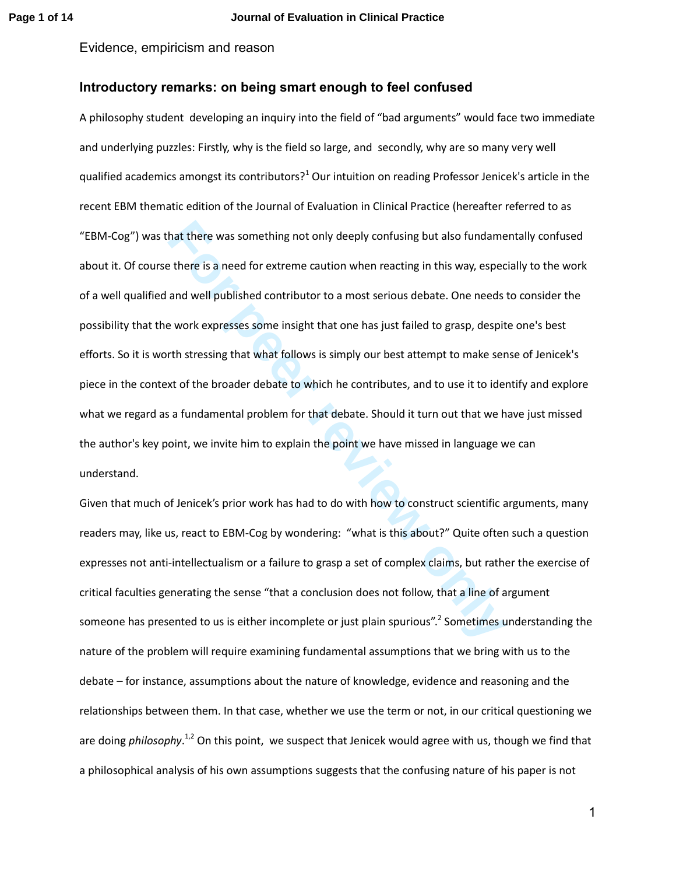# **Introductory remarks: on being smart enough to feel confused**

hat there was something not only deeply confusing but also fundame<br>
there is a need for extreme caution when reacting in this way, espect<br>
and well published contributor to a most serious debate. One needs<br>
ie work express A philosophy student developing an inquiry into the field of "bad arguments" would face two immediate and underlying puzzles: Firstly, why is the field so large, and secondly, why are so many very well qualified academics amongst its contributors?<sup>1</sup> Our intuition on reading Professor Jenicek's article in the recent EBM thematic edition of the Journal of Evaluation in Clinical Practice (hereafter referred to as "EBM-Cog") was that there was something not only deeply confusing but also fundamentally confused about it. Of course there is a need for extreme caution when reacting in this way, especially to the work of a well qualified and well published contributor to a most serious debate. One needs to consider the possibility that the work expresses some insight that one has just failed to grasp, despite one's best efforts. So it is worth stressing that what follows is simply our best attempt to make sense of Jenicek's piece in the context of the broader debate to which he contributes, and to use it to identify and explore what we regard as a fundamental problem for that debate. Should it turn out that we have just missed the author's key point, we invite him to explain the point we have missed in language we can understand.

Given that much of Jenicek's prior work has had to do with how to construct scientific arguments, many readers may, like us, react to EBM-Cog by wondering: "what is this about?" Quite often such a question expresses not anti-intellectualism or a failure to grasp a set of complex claims, but rather the exercise of critical faculties generating the sense "that a conclusion does not follow, that a line of argument someone has presented to us is either incomplete or just plain spurious".<sup>2</sup> Sometimes understanding the nature of the problem will require examining fundamental assumptions that we bring with us to the debate – for instance, assumptions about the nature of knowledge, evidence and reasoning and the relationships between them. In that case, whether we use the term or not, in our critical questioning we are doing *philosophy*.<sup>1,2</sup> On this point, we suspect that Jenicek would agree with us, though we find that a philosophical analysis of his own assumptions suggests that the confusing nature of his paper is not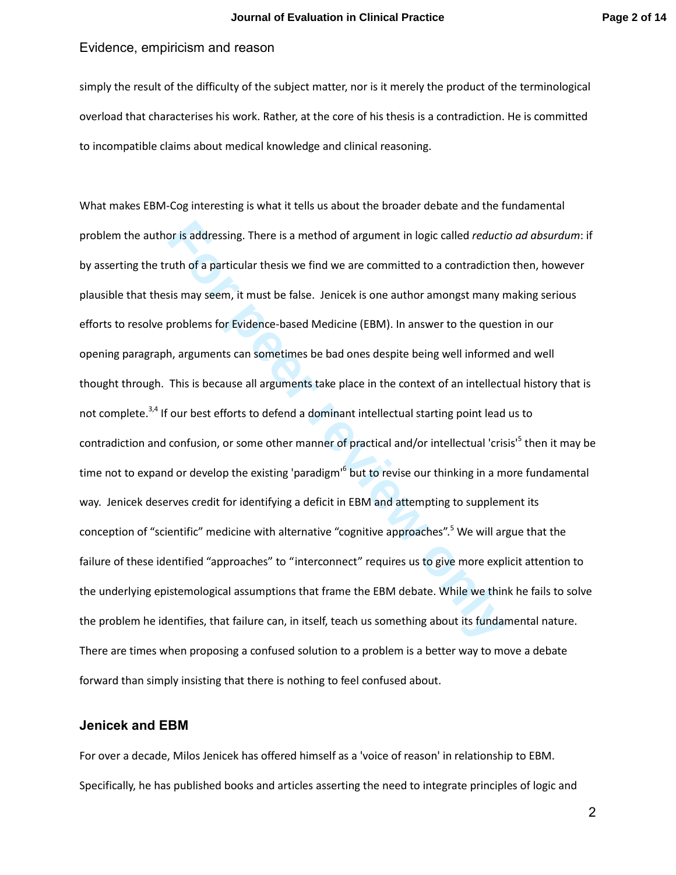simply the result of the difficulty of the subject matter, nor is it merely the product of the terminological overload that characterises his work. Rather, at the core of his thesis is a contradiction. He is committed to incompatible claims about medical knowledge and clinical reasoning.

or is addressing. There is a method of argument in logic called *reducti*<br>
tuth of a particular thesis we find we are committed to a contradiction<br>
sis may seem, it must be false. Jenicek is one author amongst many n<br>
prob What makes EBM-Cog interesting is what it tells us about the broader debate and the fundamental problem the author is addressing. There is a method of argument in logic called *reductio ad absurdum*: if by asserting the truth of a particular thesis we find we are committed to a contradiction then, however plausible that thesis may seem, it must be false. Jenicek is one author amongst many making serious efforts to resolve problems for Evidence-based Medicine (EBM). In answer to the question in our opening paragraph, arguments can sometimes be bad ones despite being well informed and well thought through. This is because all arguments take place in the context of an intellectual history that is not complete.<sup>3,4</sup> If our best efforts to defend a dominant intellectual starting point lead us to contradiction and confusion, or some other manner of practical and/or intellectual 'crisis'<sup>5</sup> then it may be time not to expand or develop the existing 'paradigm'<sup>6</sup> but to revise our thinking in a more fundamental way. Jenicek deserves credit for identifying a deficit in EBM and attempting to supplement its conception of "scientific" medicine with alternative "cognitive approaches".<sup>5</sup> We will argue that the failure of these identified "approaches" to "interconnect" requires us to give more explicit attention to the underlying epistemological assumptions that frame the EBM debate. While we think he fails to solve the problem he identifies, that failure can, in itself, teach us something about its fundamental nature. There are times when proposing a confused solution to a problem is a better way to move a debate forward than simply insisting that there is nothing to feel confused about.

### **Jenicek and EBM**

For over a decade, Milos Jenicek has offered himself as a 'voice of reason' in relationship to EBM. Specifically, he has published books and articles asserting the need to integrate principles of logic and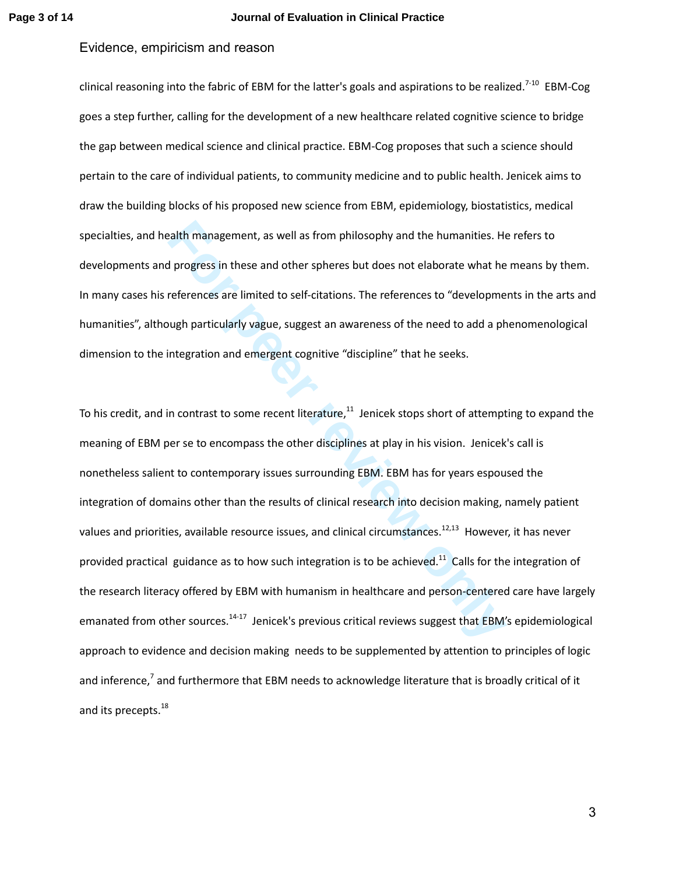#### **Page 3 of 14 Journal of Evaluation in Clinical Practice**

## Evidence, empiricism and reason

clinical reasoning into the fabric of EBM for the latter's goals and aspirations to be realized.<sup>7-10</sup> EBM-Cog goes a step further, calling for the development of a new healthcare related cognitive science to bridge the gap between medical science and clinical practice. EBM-Cog proposes that such a science should pertain to the care of individual patients, to community medicine and to public health. Jenicek aims to draw the building blocks of his proposed new science from EBM, epidemiology, biostatistics, medical specialties, and health management, as well as from philosophy and the humanities. He refers to developments and progress in these and other spheres but does not elaborate what he means by them. In many cases his references are limited to self-citations. The references to "developments in the arts and humanities", although particularly vague, suggest an awareness of the need to add a phenomenological dimension to the integration and emergent cognitive "discipline" that he seeks.

ealth management, as well as from philosophy and the humanities. He<br>progress in these and other spheres but does not elaborate what he<br>references are limited to self-citations. The references to "developme<br>ugh particularly To his credit, and in contrast to some recent literature, $11$  Jenicek stops short of attempting to expand the meaning of EBM per se to encompass the other disciplines at play in his vision. Jenicek's call is nonetheless salient to contemporary issues surrounding EBM. EBM has for years espoused the integration of domains other than the results of clinical research into decision making, namely patient values and priorities, available resource issues, and clinical circumstances.<sup>12,13</sup> However, it has never provided practical guidance as to how such integration is to be achieved.<sup>11</sup> Calls for the integration of the research literacy offered by EBM with humanism in healthcare and person-centered care have largely emanated from other sources.<sup>14-17</sup> Jenicek's previous critical reviews suggest that EBM's epidemiological approach to evidence and decision making needs to be supplemented by attention to principles of logic and inference,<sup>7</sup> and furthermore that EBM needs to acknowledge literature that is broadly critical of it and its precepts.<sup>18</sup>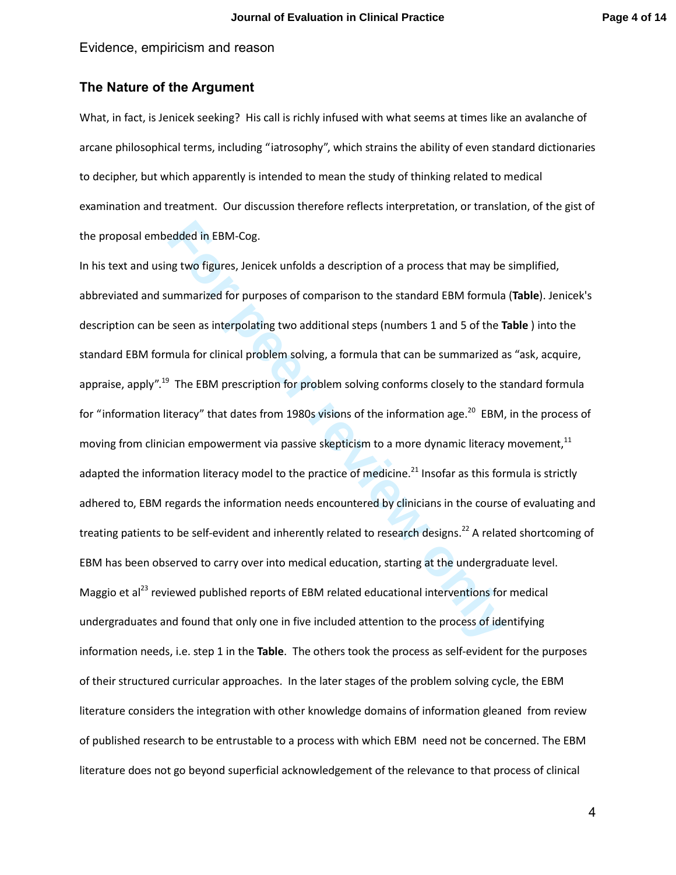# **The Nature of the Argument**

What, in fact, is Jenicek seeking? His call is richly infused with what seems at times like an avalanche of arcane philosophical terms, including "iatrosophy", which strains the ability of even standard dictionaries to decipher, but which apparently is intended to mean the study of thinking related to medical examination and treatment. Our discussion therefore reflects interpretation, or translation, of the gist of the proposal embedded in EBM-Cog.

edded in EBM-Cog.<br>
Ing two figures, Jenicek unfolds a description of a process that may be<br>
ummarized for purposes of comparison to the standard EBM formula<br>
For earn as interpolating two additional steps (numbers 1 and 5 In his text and using two figures, Jenicek unfolds a description of a process that may be simplified, abbreviated and summarized for purposes of comparison to the standard EBM formula (**Table**). Jenicek's description can be seen as interpolating two additional steps (numbers 1 and 5 of the **Table** ) into the standard EBM formula for clinical problem solving, a formula that can be summarized as "ask, acquire, appraise, apply".<sup>19</sup> The EBM prescription for problem solving conforms closely to the standard formula for "information literacy" that dates from 1980s visions of the information age.<sup>20</sup> EBM, in the process of moving from clinician empowerment via passive skepticism to a more dynamic literacy movement, $11$ adapted the information literacy model to the practice of medicine.<sup>21</sup> Insofar as this formula is strictly adhered to, EBM regards the information needs encountered by clinicians in the course of evaluating and treating patients to be self-evident and inherently related to research designs.<sup>22</sup> A related shortcoming of EBM has been observed to carry over into medical education, starting at the undergraduate level. Maggio et al<sup>23</sup> reviewed published reports of EBM related educational interventions for medical undergraduates and found that only one in five included attention to the process of identifying information needs, i.e. step 1 in the **Table**. The others took the process as self-evident for the purposes of their structured curricular approaches. In the later stages of the problem solving cycle, the EBM literature considers the integration with other knowledge domains of information gleaned from review of published research to be entrustable to a process with which EBM need not be concerned. The EBM literature does not go beyond superficial acknowledgement of the relevance to that process of clinical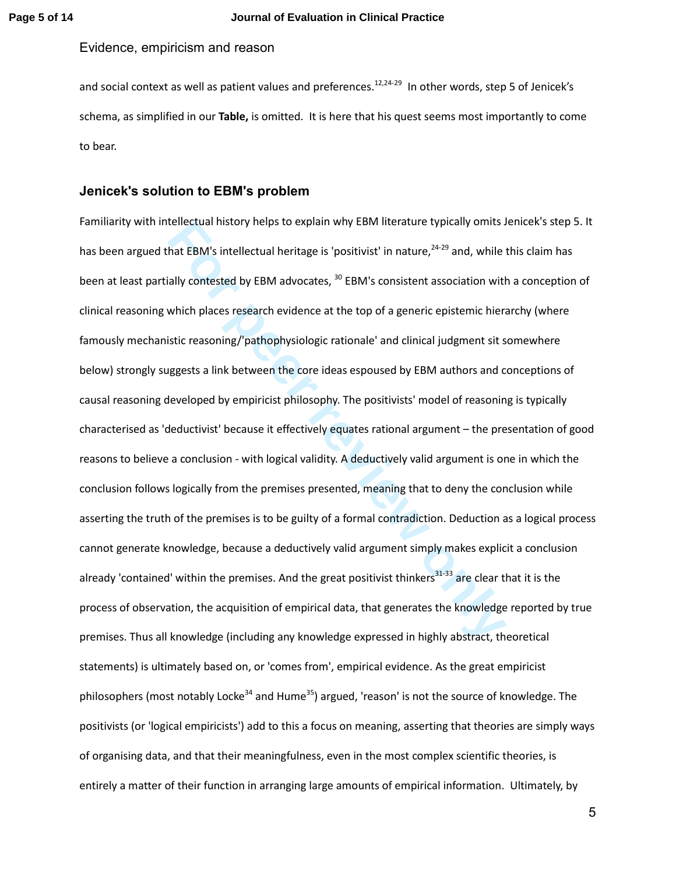and social context as well as patient values and preferences.<sup>12,24-29</sup> In other words, step 5 of Jenicek's schema, as simplified in our **Table,** is omitted. It is here that his quest seems most importantly to come to bear.

#### **Jenicek's solution to EBM's problem**

tellectual history helps to explain why EBM literature typically omits J<br>hat EBM's intellectual heritage is 'positivist' in nature.<sup>24-29</sup> and, while i<br>ially contested by EBM advocates, <sup>30</sup> EBM's consistent association wi Familiarity with intellectual history helps to explain why EBM literature typically omits Jenicek's step 5. It has been argued that EBM's intellectual heritage is 'positivist' in nature,<sup>24-29</sup> and, while this claim has been at least partially contested by EBM advocates, <sup>30</sup> EBM's consistent association with a conception of clinical reasoning which places research evidence at the top of a generic epistemic hierarchy (where famously mechanistic reasoning/'pathophysiologic rationale' and clinical judgment sit somewhere below) strongly suggests a link between the core ideas espoused by EBM authors and conceptions of causal reasoning developed by empiricist philosophy. The positivists' model of reasoning is typically characterised as 'deductivist' because it effectively equates rational argument – the presentation of good reasons to believe a conclusion - with logical validity. A deductively valid argument is one in which the conclusion follows logically from the premises presented, meaning that to deny the conclusion while asserting the truth of the premises is to be guilty of a formal contradiction. Deduction as a logical process cannot generate knowledge, because a deductively valid argument simply makes explicit a conclusion already 'contained' within the premises. And the great positivist thinkers<sup>31-33</sup> are clear that it is the process of observation, the acquisition of empirical data, that generates the knowledge reported by true premises. Thus all knowledge (including any knowledge expressed in highly abstract, theoretical statements) is ultimately based on, or 'comes from', empirical evidence. As the great empiricist philosophers (most notably Locke<sup>34</sup> and Hume<sup>35</sup>) argued, 'reason' is not the source of knowledge. The positivists (or 'logical empiricists') add to this a focus on meaning, asserting that theories are simply ways of organising data, and that their meaningfulness, even in the most complex scientific theories, is entirely a matter of their function in arranging large amounts of empirical information. Ultimately, by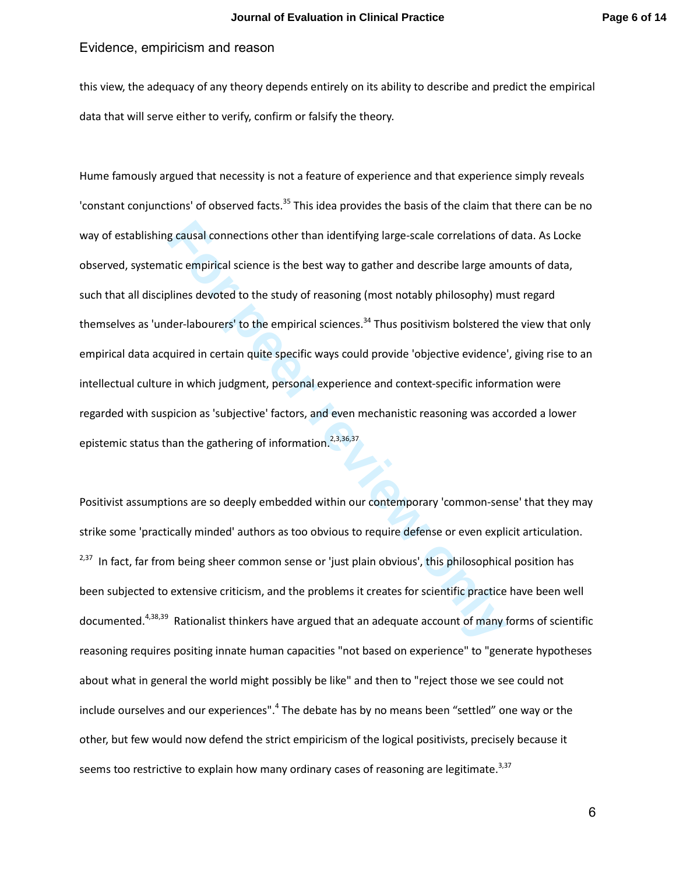this view, the adequacy of any theory depends entirely on its ability to describe and predict the empirical data that will serve either to verify, confirm or falsify the theory.

**Example 12** connections other than identifying large-scale correlations of<br>tic empirical science is the best way to gather and describe large amo<br>plines devoted to the study of reasoning (most notably philosophy) mi<br>der-l Hume famously argued that necessity is not a feature of experience and that experience simply reveals 'constant conjunctions' of observed facts.<sup>35</sup> This idea provides the basis of the claim that there can be no way of establishing causal connections other than identifying large-scale correlations of data. As Locke observed, systematic empirical science is the best way to gather and describe large amounts of data, such that all disciplines devoted to the study of reasoning (most notably philosophy) must regard themselves as 'under-labourers' to the empirical sciences.<sup>34</sup> Thus positivism bolstered the view that only empirical data acquired in certain quite specific ways could provide 'objective evidence', giving rise to an intellectual culture in which judgment, personal experience and context-specific information were regarded with suspicion as 'subjective' factors, and even mechanistic reasoning was accorded a lower epistemic status than the gathering of information.<sup>2,3,36,37</sup>

Positivist assumptions are so deeply embedded within our contemporary 'common-sense' that they may strike some 'practically minded' authors as too obvious to require defense or even explicit articulation. <sup>2,37</sup> In fact, far from being sheer common sense or 'just plain obvious', this philosophical position has been subjected to extensive criticism, and the problems it creates for scientific practice have been well documented.<sup>4,38,39</sup> Rationalist thinkers have argued that an adequate account of many forms of scientific reasoning requires positing innate human capacities "not based on experience" to "generate hypotheses about what in general the world might possibly be like" and then to "reject those we see could not include ourselves and our experiences".<sup>4</sup> The debate has by no means been "settled" one way or the other, but few would now defend the strict empiricism of the logical positivists, precisely because it seems too restrictive to explain how many ordinary cases of reasoning are legitimate. $3,37$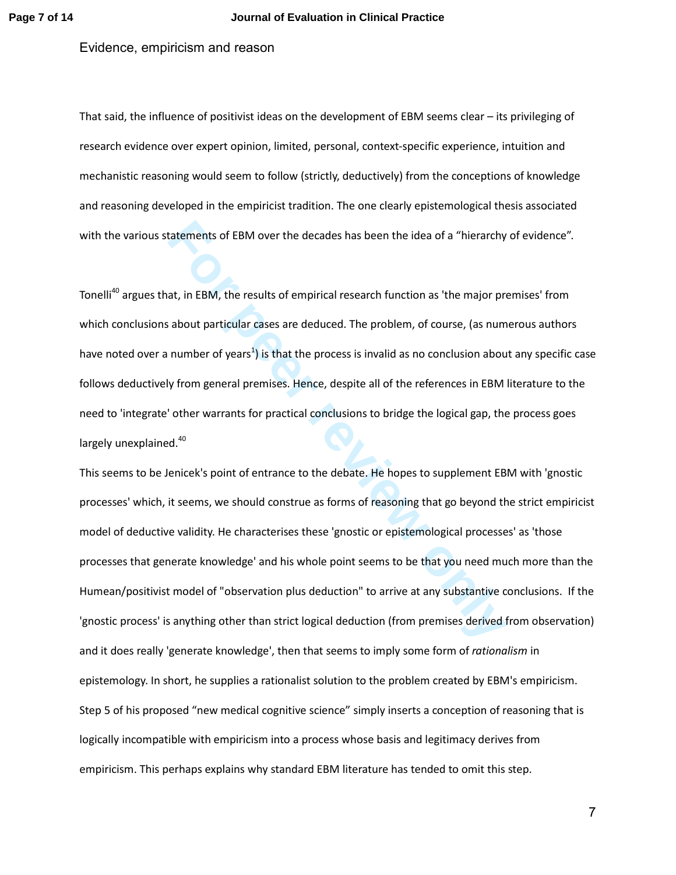That said, the influence of positivist ideas on the development of EBM seems clear – its privileging of research evidence over expert opinion, limited, personal, context-specific experience, intuition and mechanistic reasoning would seem to follow (strictly, deductively) from the conceptions of knowledge and reasoning developed in the empiricist tradition. The one clearly epistemological thesis associated with the various statements of EBM over the decades has been the idea of a "hierarchy of evidence".

Tonelli<sup>40</sup> argues that, in EBM, the results of empirical research function as 'the major premises' from which conclusions about particular cases are deduced. The problem, of course, (as numerous authors have noted over a number of years<sup>1</sup>) is that the process is invalid as no conclusion about any specific case follows deductively from general premises. Hence, despite all of the references in EBM literature to the need to 'integrate' other warrants for practical conclusions to bridge the logical gap, the process goes largely unexplained.<sup>40</sup>

tatements of EBM over the decades has been the idea of a "hierarchy<br>at, in EBM, the results of empirical research function as 'the major pre<br>about particular cases are deduced. The problem, of course, (as num<br>number of yea This seems to be Jenicek's point of entrance to the debate. He hopes to supplement EBM with 'gnostic processes' which, it seems, we should construe as forms of reasoning that go beyond the strict empiricist model of deductive validity. He characterises these 'gnostic or epistemological processes' as 'those processes that generate knowledge' and his whole point seems to be that you need much more than the Humean/positivist model of "observation plus deduction" to arrive at any substantive conclusions. If the 'gnostic process' is anything other than strict logical deduction (from premises derived from observation) and it does really 'generate knowledge', then that seems to imply some form of *rationalism* in epistemology. In short, he supplies a rationalist solution to the problem created by EBM's empiricism. Step 5 of his proposed "new medical cognitive science" simply inserts a conception of reasoning that is logically incompatible with empiricism into a process whose basis and legitimacy derives from empiricism. This perhaps explains why standard EBM literature has tended to omit this step.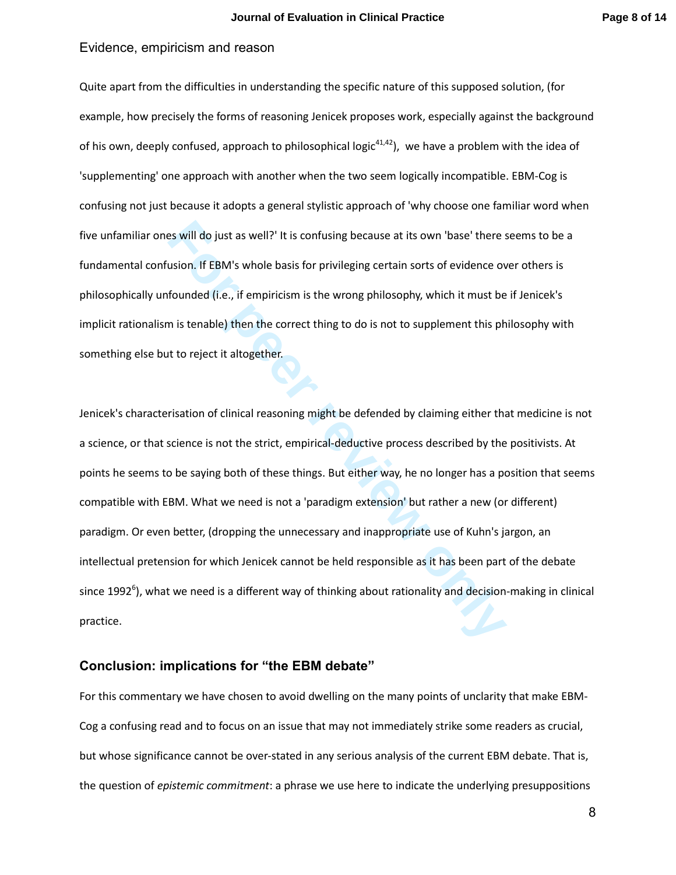Quite apart from the difficulties in understanding the specific nature of this supposed solution, (for example, how precisely the forms of reasoning Jenicek proposes work, especially against the background of his own, deeply confused, approach to philosophical logic<sup>41,42</sup>), we have a problem with the idea of 'supplementing' one approach with another when the two seem logically incompatible. EBM-Cog is confusing not just because it adopts a general stylistic approach of 'why choose one familiar word when five unfamiliar ones will do just as well?' It is confusing because at its own 'base' there seems to be a fundamental confusion. If EBM's whole basis for privileging certain sorts of evidence over others is philosophically unfounded (i.e., if empiricism is the wrong philosophy, which it must be if Jenicek's implicit rationalism is tenable) then the correct thing to do is not to supplement this philosophy with something else but to reject it altogether.

**Fourth EBM's whole basis for privileging because at its own 'base' there susion. If EBM's whole basis for privileging certain sorts of evidence ov<br>founded (i.e., if empiricism is the wrong philosophy, which it must be<br>in** Jenicek's characterisation of clinical reasoning might be defended by claiming either that medicine is not a science, or that science is not the strict, empirical-deductive process described by the positivists. At points he seems to be saying both of these things. But either way, he no longer has a position that seems compatible with EBM. What we need is not a 'paradigm extension' but rather a new (or different) paradigm. Or even better, (dropping the unnecessary and inappropriate use of Kuhn's jargon, an intellectual pretension for which Jenicek cannot be held responsible as it has been part of the debate since 1992<sup>6</sup>), what we need is a different way of thinking about rationality and decision-making in clinical practice.

## **Conclusion: implications for "the EBM debate"**

For this commentary we have chosen to avoid dwelling on the many points of unclarity that make EBM-Cog a confusing read and to focus on an issue that may not immediately strike some readers as crucial, but whose significance cannot be over-stated in any serious analysis of the current EBM debate. That is, the question of *epistemic commitment*: a phrase we use here to indicate the underlying presuppositions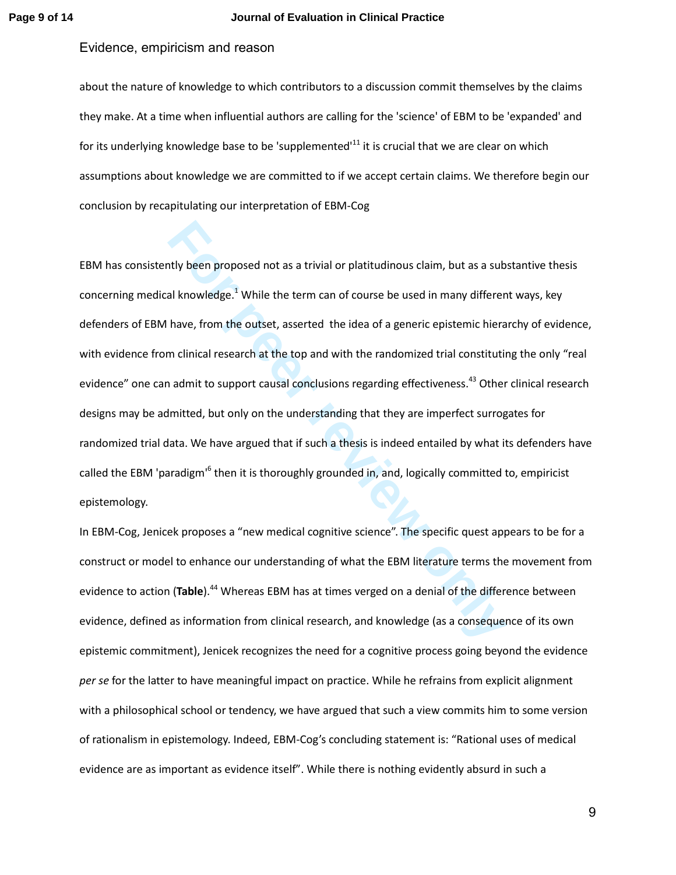#### **Page 9 of 14 Journal of Evaluation in Clinical Practice**

### Evidence, empiricism and reason

about the nature of knowledge to which contributors to a discussion commit themselves by the claims they make. At a time when influential authors are calling for the 'science' of EBM to be 'expanded' and for its underlying knowledge base to be 'supplemented'<sup>11</sup> it is crucial that we are clear on which assumptions about knowledge we are committed to if we accept certain claims. We therefore begin our conclusion by recapitulating our interpretation of EBM-Cog

**For the metallical standard and the EBM** literation and the different and thomeloge.<sup>1</sup> While the term can of course be used in many different have, from the outset, asserted the idea of a generic epistemic hieral m clini EBM has consistently been proposed not as a trivial or platitudinous claim, but as a substantive thesis concerning medical knowledge.<sup>1</sup> While the term can of course be used in many different ways, key defenders of EBM have, from the outset, asserted the idea of a generic epistemic hierarchy of evidence, with evidence from clinical research at the top and with the randomized trial constituting the only "real evidence" one can admit to support causal conclusions regarding effectiveness.<sup>43</sup> Other clinical research designs may be admitted, but only on the understanding that they are imperfect surrogates for randomized trial data. We have argued that if such a thesis is indeed entailed by what its defenders have called the EBM 'paradigm'<sup>6</sup> then it is thoroughly grounded in, and, logically committed to, empiricist epistemology.

In EBM-Cog, Jenicek proposes a "new medical cognitive science". The specific quest appears to be for a construct or model to enhance our understanding of what the EBM literature terms the movement from evidence to action (Table).<sup>44</sup> Whereas EBM has at times verged on a denial of the difference between evidence, defined as information from clinical research, and knowledge (as a consequence of its own epistemic commitment), Jenicek recognizes the need for a cognitive process going beyond the evidence *per se* for the latter to have meaningful impact on practice. While he refrains from explicit alignment with a philosophical school or tendency, we have argued that such a view commits him to some version of rationalism in epistemology. Indeed, EBM-Cog's concluding statement is: "Rational uses of medical evidence are as important as evidence itself". While there is nothing evidently absurd in such a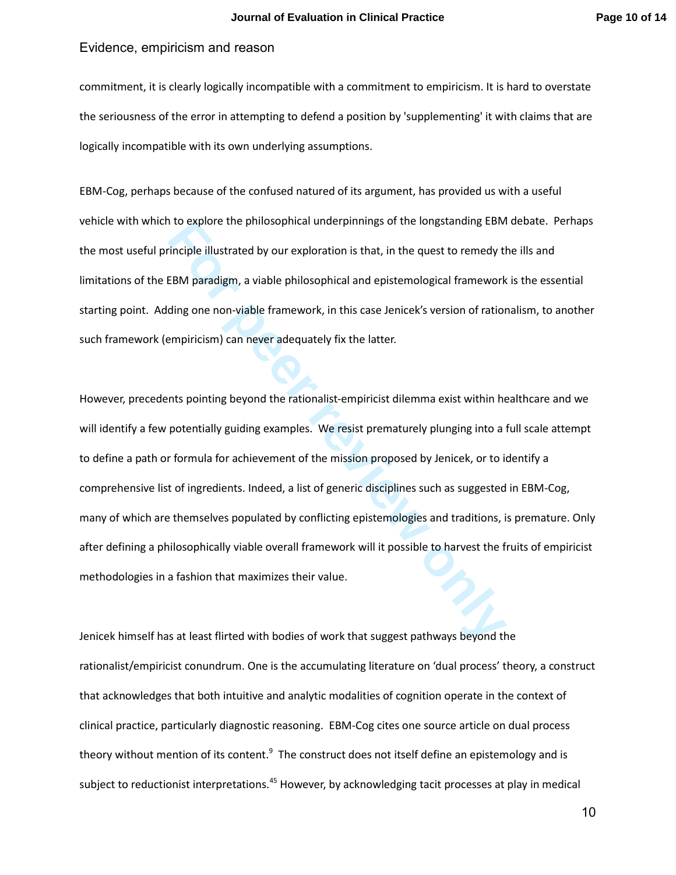commitment, it is clearly logically incompatible with a commitment to empiricism. It is hard to overstate the seriousness of the error in attempting to defend a position by 'supplementing' it with claims that are logically incompatible with its own underlying assumptions.

EBM-Cog, perhaps because of the confused natured of its argument, has provided us with a useful vehicle with which to explore the philosophical underpinnings of the longstanding EBM debate. Perhaps the most useful principle illustrated by our exploration is that, in the quest to remedy the ills and limitations of the EBM paradigm, a viable philosophical and epistemological framework is the essential starting point. Adding one non-viable framework, in this case Jenicek's version of rationalism, to another such framework (empiricism) can never adequately fix the latter.

The illustrated by our exploration is that, in the quest to remedy the indicated by our exploration is that, in the quest to remedy the BEM paradigm, a viable philosophical and epistemological framework<br>EEM paradigm, a via However, precedents pointing beyond the rationalist-empiricist dilemma exist within healthcare and we will identify a few potentially guiding examples. We resist prematurely plunging into a full scale attempt to define a path or formula for achievement of the mission proposed by Jenicek, or to identify a comprehensive list of ingredients. Indeed, a list of generic disciplines such as suggested in EBM-Cog, many of which are themselves populated by conflicting epistemologies and traditions, is premature. Only after defining a philosophically viable overall framework will it possible to harvest the fruits of empiricist methodologies in a fashion that maximizes their value.

Jenicek himself has at least flirted with bodies of work that suggest pathways beyond the rationalist/empiricist conundrum. One is the accumulating literature on 'dual process' theory, a construct that acknowledges that both intuitive and analytic modalities of cognition operate in the context of clinical practice, particularly diagnostic reasoning. EBM-Cog cites one source article on dual process theory without mention of its content. $^9$  The construct does not itself define an epistemology and is subject to reductionist interpretations.<sup>45</sup> However, by acknowledging tacit processes at play in medical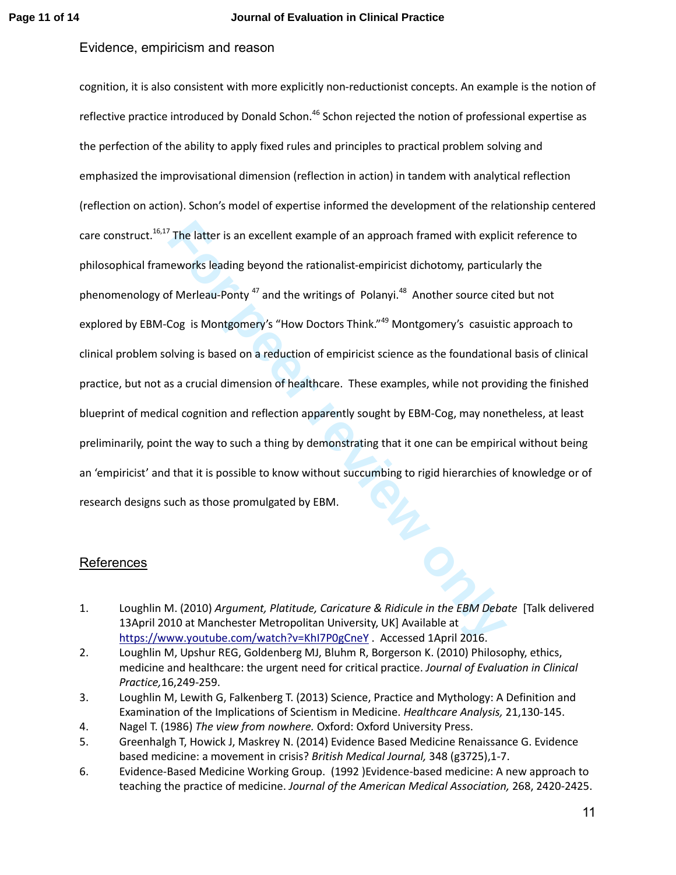<sup>7</sup> The latter is an excellent example of an approach framed with explication<br>eworks leading beyond the rationalist-empiricist dichotomy, particular<br>of Merleau-Ponty<sup>47</sup> and the writings of Polanyi.<sup>48</sup> Another source cite cognition, it is also consistent with more explicitly non-reductionist concepts. An example is the notion of reflective practice introduced by Donald Schon.<sup>46</sup> Schon rejected the notion of professional expertise as the perfection of the ability to apply fixed rules and principles to practical problem solving and emphasized the improvisational dimension (reflection in action) in tandem with analytical reflection (reflection on action). Schon's model of expertise informed the development of the relationship centered care construct.<sup>16,17</sup> The latter is an excellent example of an approach framed with explicit reference to philosophical frameworks leading beyond the rationalist-empiricist dichotomy, particularly the phenomenology of Merleau-Ponty  $47$  and the writings of Polanyi.<sup>48</sup> Another source cited but not explored by EBM-Cog is Montgomery's "How Doctors Think."<sup>49</sup> Montgomery's casuistic approach to clinical problem solving is based on a reduction of empiricist science as the foundational basis of clinical practice, but not as a crucial dimension of healthcare. These examples, while not providing the finished blueprint of medical cognition and reflection apparently sought by EBM-Cog, may nonetheless, at least preliminarily, point the way to such a thing by demonstrating that it one can be empirical without being an 'empiricist' and that it is possible to know without succumbing to rigid hierarchies of knowledge or of research designs such as those promulgated by EBM.

## References

- 1. Loughlin M. (2010) *Argument, Platitude, Caricature & Ridicule in the EBM Debate* [Talk delivered 13April 2010 at Manchester Metropolitan University, UK] Available at https://www.youtube.com/watch?v=KhI7P0gCneY . Accessed 1April 2016.
- 2. Loughlin M, Upshur REG, Goldenberg MJ, Bluhm R, Borgerson K. (2010) Philosophy, ethics, medicine and healthcare: the urgent need for critical practice. *Journal of Evaluation in Clinical Practice,*16,249-259.
- 3. Loughlin M, Lewith G, Falkenberg T. (2013) Science, Practice and Mythology: A Definition and Examination of the Implications of Scientism in Medicine. *Healthcare Analysis,* 21,130-145.
- 4. Nagel T. (1986) *The view from nowhere.* Oxford: Oxford University Press.
- 5. Greenhalgh T, Howick J, Maskrey N. (2014) Evidence Based Medicine Renaissance G. Evidence based medicine: a movement in crisis? *British Medical Journal,* 348 (g3725),1-7.
- 6. Evidence-Based Medicine Working Group. (1992 )Evidence-based medicine: A new approach to teaching the practice of medicine. *Journal of the American Medical Association,* 268, 2420-2425.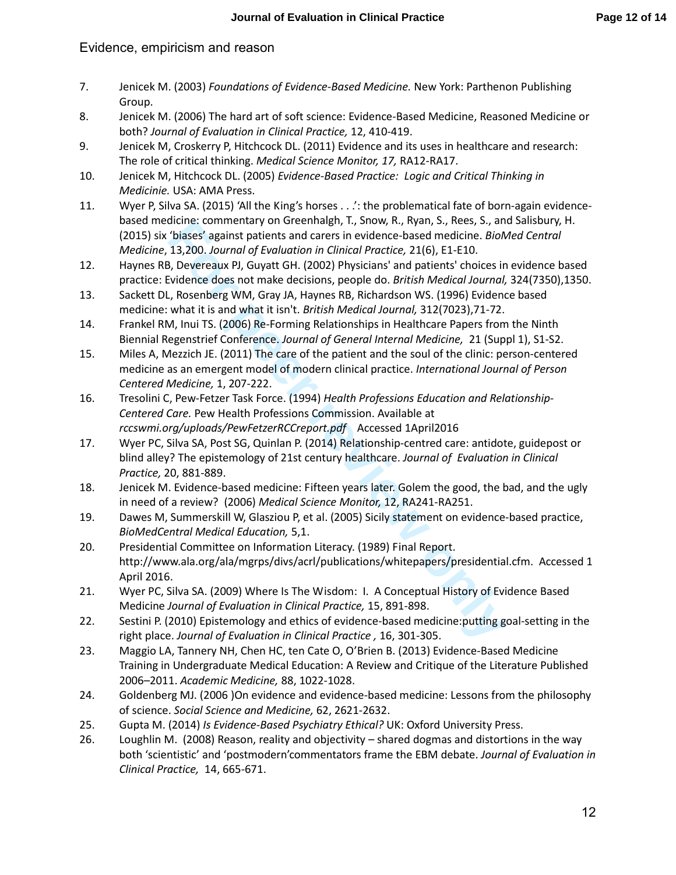- 7. Jenicek M. (2003) *Foundations of Evidence-Based Medicine.* New York: Parthenon Publishing Group.
- 8. Jenicek M. (2006) The hard art of soft science: Evidence-Based Medicine, Reasoned Medicine or both? *Journal of Evaluation in Clinical Practice,* 12, 410-419.
- 9. Jenicek M, Croskerry P, Hitchcock DL. (2011) Evidence and its uses in healthcare and research: The role of critical thinking. *Medical Science Monitor, 17,* RA12-RA17.
- 10. Jenicek M, Hitchcock DL. (2005) *Evidence-Based Practice: Logic and Critical Thinking in Medicinie.* USA: AMA Press.
- 11. Wyer P, Silva SA. (2015) 'All the King's horses . . .': the problematical fate of born-again evidencebased medicine: commentary on Greenhalgh, T., Snow, R., Ryan, S., Rees, S., and Salisbury, H. (2015) six 'biases' against patients and carers in evidence-based medicine. *BioMed Central Medicine*, 13,200. *Journal of Evaluation in Clinical Practice,* 21(6), E1-E10.
- 12. Haynes RB, Devereaux PJ, Guyatt GH. (2002) Physicians' and patients' choices in evidence based practice: Evidence does not make decisions, people do. *British Medical Journal,* 324(7350),1350.
- 13. Sackett DL, Rosenberg WM, Gray JA, Haynes RB, Richardson WS. (1996) Evidence based medicine: what it is and what it isn't. *British Medical Journal,* 312(7023),71-72.
- 14. Frankel RM, Inui TS. (2006) Re-Forming Relationships in Healthcare Papers from the Ninth Biennial Regenstrief Conference. *Journal of General Internal Medicine,* 21 (Suppl 1), S1-S2.
- 15. Miles A, Mezzich JE. (2011) The care of the patient and the soul of the clinic: person-centered medicine as an emergent model of modern clinical practice. *International Journal of Person Centered Medicine,* 1, 207-222.
- 16. Tresolini C, Pew-Fetzer Task Force. (1994) *Health Professions Education and Relationship-Centered Care.* Pew Health Professions Commission. Available at *rccswmi.org/uploads/PewFetzerRCCreport.pdf* Accessed 1April2016
- dichie: Commentary on Greenhaugh, 1, Show, R., New, R., New, S., J. and Succe-based medicine. *Biology* Spainst patients and carers in evidence-based medicine. *Biology* Spainst PH, Guyatt GH. (2002) Physicians' and patien 17. Wyer PC, Silva SA, Post SG, Quinlan P. (2014) Relationship-centred care: antidote, guidepost or blind alley? The epistemology of 21st century healthcare. *Journal of Evaluation in Clinical Practice,* 20, 881-889.
- 18. Jenicek M. Evidence-based medicine: Fifteen years later. Golem the good, the bad, and the ugly in need of a review? (2006) *Medical Science Monitor,* 12, RA241-RA251.
- 19. Dawes M, Summerskill W, Glasziou P, et al. (2005) Sicily statement on evidence-based practice, *BioMedCentral Medical Education,* 5,1.
- 20. Presidential Committee on Information Literacy. (1989) Final Report. http://www.ala.org/ala/mgrps/divs/acrl/publications/whitepapers/presidential.cfm. Accessed 1 April 2016.
- 21. Wyer PC, Silva SA. (2009) Where Is The Wisdom: I. A Conceptual History of Evidence Based Medicine *Journal of Evaluation in Clinical Practice,* 15, 891-898.
- 22. Sestini P. (2010) Epistemology and ethics of evidence-based medicine:putting goal-setting in the right place. *Journal of Evaluation in Clinical Practice ,* 16, 301-305.
- 23. Maggio LA, Tannery NH, Chen HC, ten Cate O, O'Brien B. (2013) Evidence-Based Medicine Training in Undergraduate Medical Education: A Review and Critique of the Literature Published 2006–2011. *Academic Medicine,* 88, 1022-1028.
- 24. Goldenberg MJ. (2006 )On evidence and evidence-based medicine: Lessons from the philosophy of science. *Social Science and Medicine,* 62, 2621-2632.
- 25. Gupta M. (2014) *Is Evidence-Based Psychiatry Ethical?* UK: Oxford University Press.
- 26. Loughlin M. (2008) Reason, reality and objectivity shared dogmas and distortions in the way both 'scientistic' and 'postmodern'commentators frame the EBM debate. *Journal of Evaluation in Clinical Practice,* 14, 665-671.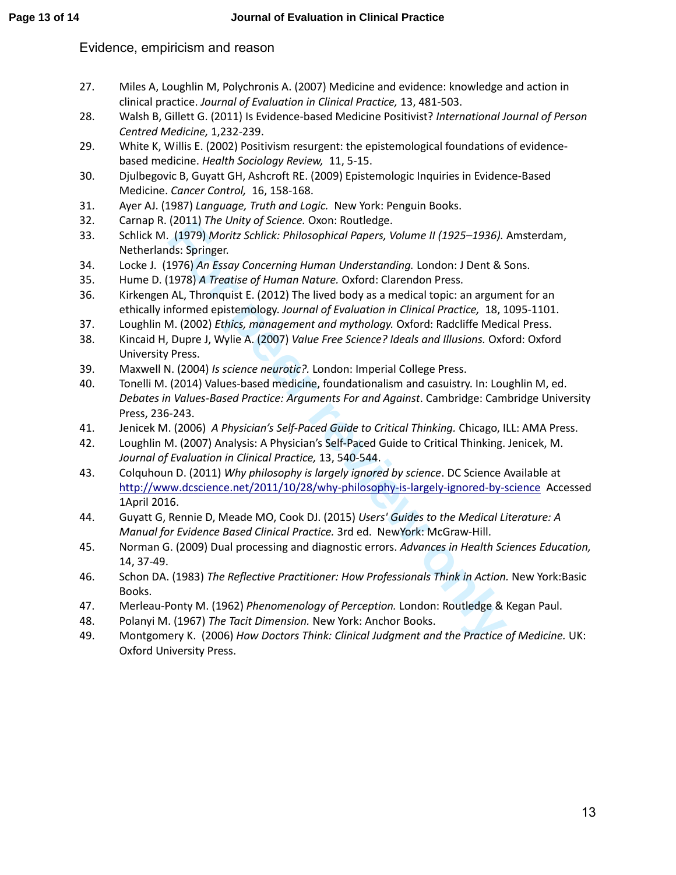- 27. Miles A, Loughlin M, Polychronis A. (2007) Medicine and evidence: knowledge and action in clinical practice. *Journal of Evaluation in Clinical Practice,* 13, 481-503.
- 28. Walsh B, Gillett G. (2011) Is Evidence-based Medicine Positivist? *International Journal of Person Centred Medicine,* 1,232-239.
- 29. White K, Willis E. (2002) Positivism resurgent: the epistemological foundations of evidencebased medicine. *Health Sociology Review,* 11, 5-15.
- 30. Djulbegovic B, Guyatt GH, Ashcroft RE. (2009) Epistemologic Inquiries in Evidence-Based Medicine. *Cancer Control,* 16, 158-168.
- 31. Ayer AJ. (1987) *Language, Truth and Logic.* New York: Penguin Books.
- 32. Carnap R. (2011) *The Unity of Science.* Oxon: Routledge.
- 33. Schlick M. (1979) *Moritz Schlick: Philosophical Papers, Volume II (1925–1936).* Amsterdam, Netherlands: Springer.
- 34. Locke J. (1976) *An Essay Concerning Human Understanding.* London: J Dent & Sons.
- 35. Hume D. (1978) *A Treatise of Human Nature.* Oxford: Clarendon Press.
- 36. Kirkengen AL, Thronquist E. (2012) The lived body as a medical topic: an argument for an ethically informed epistemology. *Journal of Evaluation in Clinical Practice,* 18, 1095-1101.
- 37. Loughlin M. (2002) *Ethics, management and mythology.* Oxford: Radcliffe Medical Press.
- 38. Kincaid H, Dupre J, Wylie A. (2007) *Value Free Science? Ideals and Illusions.* Oxford: Oxford University Press.
- 39. Maxwell N. (2004) *Is science neurotic?.* London: Imperial College Press.
- (2011) *I ne Umity ay Sciente.* Uston: Robin: Robinelege.<br> **For all the Unity Science:** Using the Universide Representing London: J Dent & S.<br> **For peer review only and the Univer Walter Condition** Books Springer.<br> **For Pe** 40. Tonelli M. (2014) Values-based medicine, foundationalism and casuistry. In: Loughlin M, ed. *Debates in Values-Based Practice: Arguments For and Against*. Cambridge: Cambridge University Press, 236-243.
- 41. Jenicek M. (2006) *A Physician's Self-Paced Guide to Critical Thinking.* Chicago, ILL: AMA Press.
- 42. Loughlin M. (2007) Analysis: A Physician's Self-Paced Guide to Critical Thinking. Jenicek, M. *Journal of Evaluation in Clinical Practice,* 13, 540-544.
- 43. Colquhoun D. (2011) *Why philosophy is largely ignored by science*. DC Science Available at http://www.dcscience.net/2011/10/28/why-philosophy-is-largely-ignored-by-science Accessed 1April 2016.
- 44. Guyatt G, Rennie D, Meade MO, Cook DJ. (2015) *Users' Guides to the Medical Literature: A Manual for Evidence Based Clinical Practice.* 3rd ed. NewYork: McGraw-Hill.
- 45. Norman G. (2009) Dual processing and diagnostic errors. *Advances in Health Sciences Education,*  14, 37-49.
- 46. Schon DA. (1983) *The Reflective Practitioner: How Professionals Think in Action.* New York:Basic Books.
- 47. Merleau-Ponty M. (1962) *Phenomenology of Perception.* London: Routledge & Kegan Paul.
- 48. Polanyi M. (1967) *The Tacit Dimension.* New York: Anchor Books.
- 49. Montgomery K. (2006) *How Doctors Think: Clinical Judgment and the Practice of Medicine.* UK: Oxford University Press.